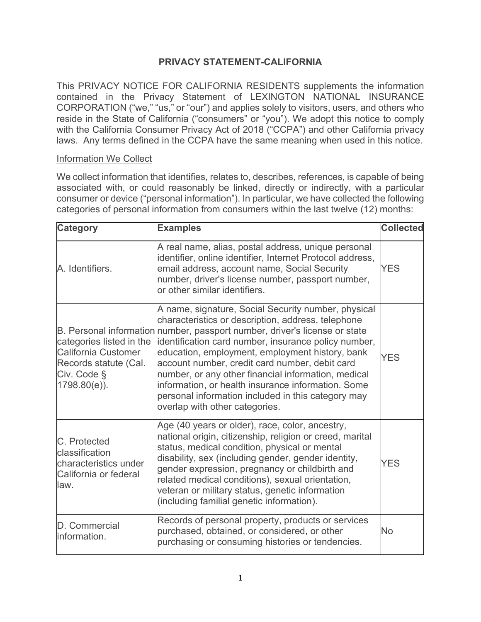## **PRIVACY STATEMENT-CALIFORNIA**

This PRIVACY NOTICE FOR CALIFORNIA RESIDENTS supplements the information contained in the Privacy Statement of LEXINGTON NATIONAL INSURANCE CORPORATION ("we," "us," or "our") and applies solely to visitors, users, and others who reside in the State of California ("consumers" or "you"). We adopt this notice to comply with the California Consumer Privacy Act of 2018 ("CCPA") and other California privacy laws. Any terms defined in the CCPA have the same meaning when used in this notice.

#### Information We Collect

We collect information that identifies, relates to, describes, references, is capable of being associated with, or could reasonably be linked, directly or indirectly, with a particular consumer or device ("personal information"). In particular, we have collected the following categories of personal information from consumers within the last twelve (12) months:

| <b>Category</b>                                                                                                   | <b>Examples</b>                                                                                                                                                                                                                                                                                                                                                                                                                                                                                                                                           | <b>Collected</b> |
|-------------------------------------------------------------------------------------------------------------------|-----------------------------------------------------------------------------------------------------------------------------------------------------------------------------------------------------------------------------------------------------------------------------------------------------------------------------------------------------------------------------------------------------------------------------------------------------------------------------------------------------------------------------------------------------------|------------------|
| A. Identifiers.                                                                                                   | A real name, alias, postal address, unique personal<br>identifier, online identifier, Internet Protocol address,<br>email address, account name, Social Security<br>number, driver's license number, passport number,<br>or other similar identifiers.                                                                                                                                                                                                                                                                                                    | <b>YES</b>       |
| categories listed in the<br><b>California Customer</b><br>Records statute (Cal.<br>Civ. Code §<br>$1798.80(e)$ ). | A name, signature, Social Security number, physical<br>characteristics or description, address, telephone<br>B. Personal information number, passport number, driver's license or state<br>identification card number, insurance policy number,<br>education, employment, employment history, bank<br>account number, credit card number, debit card<br>number, or any other financial information, medical<br>information, or health insurance information. Some<br>personal information included in this category may<br>overlap with other categories. | <b>YES</b>       |
| C. Protected<br>classification<br>characteristics under<br>California or federal<br>law.                          | Age (40 years or older), race, color, ancestry,<br>national origin, citizenship, religion or creed, marital<br>status, medical condition, physical or mental<br>disability, sex (including gender, gender identity,<br>gender expression, pregnancy or childbirth and<br>related medical conditions), sexual orientation,<br>veteran or military status, genetic information<br>(including familial genetic information).                                                                                                                                 | <b>YES</b>       |
| D. Commercial<br>information.                                                                                     | Records of personal property, products or services<br>purchased, obtained, or considered, or other<br>purchasing or consuming histories or tendencies.                                                                                                                                                                                                                                                                                                                                                                                                    | No               |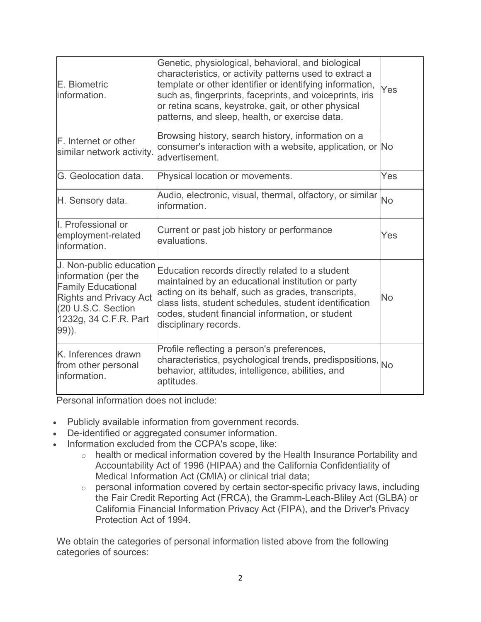| E. Biometric<br>information.                                                                                                                                          | Genetic, physiological, behavioral, and biological<br>characteristics, or activity patterns used to extract a<br>template or other identifier or identifying information,<br>such as, fingerprints, faceprints, and voiceprints, iris<br>or retina scans, keystroke, gait, or other physical<br>patterns, and sleep, health, or exercise data. | Yes       |
|-----------------------------------------------------------------------------------------------------------------------------------------------------------------------|------------------------------------------------------------------------------------------------------------------------------------------------------------------------------------------------------------------------------------------------------------------------------------------------------------------------------------------------|-----------|
| <b>F.</b> Internet or other<br>similar network activity.                                                                                                              | Browsing history, search history, information on a<br>consumer's interaction with a website, application, or No<br>advertisement.                                                                                                                                                                                                              |           |
| G. Geolocation data.                                                                                                                                                  | Physical location or movements.                                                                                                                                                                                                                                                                                                                | Yes       |
| H. Sensory data.                                                                                                                                                      | Audio, electronic, visual, thermal, olfactory, or similar<br>information.                                                                                                                                                                                                                                                                      | <b>No</b> |
| I. Professional or<br>employment-related<br>information.                                                                                                              | Current or past job history or performance<br>evaluations.                                                                                                                                                                                                                                                                                     | Yes       |
| J. Non-public education<br>information (per the<br><b>Family Educational</b><br><b>Rights and Privacy Act</b><br>(20 U.S.C. Section<br>1232g, 34 C.F.R. Part<br>99)). | Education records directly related to a student<br>maintained by an educational institution or party<br>acting on its behalf, such as grades, transcripts,<br>class lists, student schedules, student identification<br>codes, student financial information, or student<br>disciplinary records.                                              | No        |
| K. Inferences drawn<br>from other personal<br>information.                                                                                                            | Profile reflecting a person's preferences,<br>characteristics, psychological trends, predispositions, No<br>behavior, attitudes, intelligence, abilities, and<br>aptitudes.                                                                                                                                                                    |           |

Personal information does not include:

- Publicly available information from government records.
- De-identified or aggregated consumer information.
- Information excluded from the CCPA's scope, like:
	- o health or medical information covered by the Health Insurance Portability and Accountability Act of 1996 (HIPAA) and the California Confidentiality of Medical Information Act (CMIA) or clinical trial data;
	- $\circ$  personal information covered by certain sector-specific privacy laws, including the Fair Credit Reporting Act (FRCA), the Gramm-Leach-Bliley Act (GLBA) or California Financial Information Privacy Act (FIPA), and the Driver's Privacy Protection Act of 1994.

We obtain the categories of personal information listed above from the following categories of sources: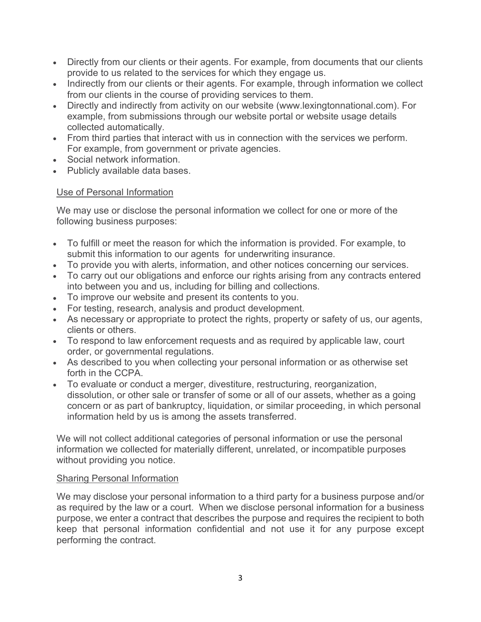- Directly from our clients or their agents. For example, from documents that our clients provide to us related to the services for which they engage us.
- Indirectly from our clients or their agents. For example, through information we collect from our clients in the course of providing services to them.
- Directly and indirectly from activity on our website (www.lexingtonnational.com). For example, from submissions through our website portal or website usage details collected automatically.
- From third parties that interact with us in connection with the services we perform. For example, from government or private agencies.
- Social network information.
- Publicly available data bases.

## Use of Personal Information

We may use or disclose the personal information we collect for one or more of the following business purposes:

- To fulfill or meet the reason for which the information is provided. For example, to submit this information to our agents for underwriting insurance.
- To provide you with alerts, information, and other notices concerning our services.
- To carry out our obligations and enforce our rights arising from any contracts entered into between you and us, including for billing and collections.
- To improve our website and present its contents to you.
- For testing, research, analysis and product development.
- As necessary or appropriate to protect the rights, property or safety of us, our agents, clients or others.
- To respond to law enforcement requests and as required by applicable law, court order, or governmental regulations.
- As described to you when collecting your personal information or as otherwise set forth in the CCPA.
- To evaluate or conduct a merger, divestiture, restructuring, reorganization, dissolution, or other sale or transfer of some or all of our assets, whether as a going concern or as part of bankruptcy, liquidation, or similar proceeding, in which personal information held by us is among the assets transferred.

We will not collect additional categories of personal information or use the personal information we collected for materially different, unrelated, or incompatible purposes without providing you notice.

### Sharing Personal Information

We may disclose your personal information to a third party for a business purpose and/or as required by the law or a court. When we disclose personal information for a business purpose, we enter a contract that describes the purpose and requires the recipient to both keep that personal information confidential and not use it for any purpose except performing the contract.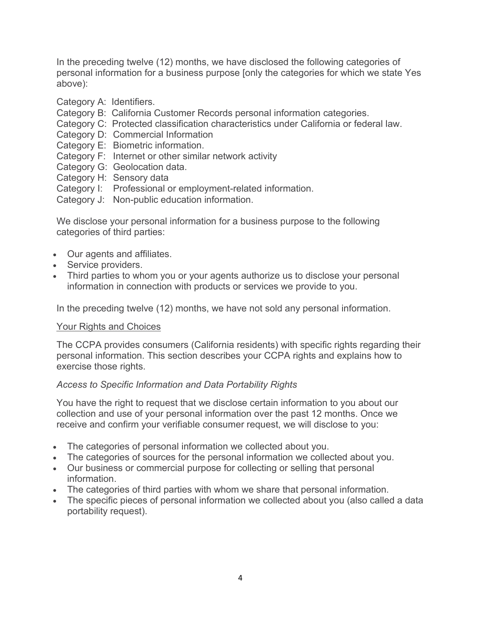In the preceding twelve (12) months, we have disclosed the following categories of personal information for a business purpose [only the categories for which we state Yes above):

- Category A: Identifiers.
- Category B: California Customer Records personal information categories.
- Category C: Protected classification characteristics under California or federal law.
- Category D: Commercial Information
- Category E: Biometric information.
- Category F: Internet or other similar network activity
- Category G: Geolocation data.
- Category H: Sensory data
- Category I: Professional or employment-related information.
- Category J: Non-public education information.

We disclose your personal information for a business purpose to the following categories of third parties:

- Our agents and affiliates.
- Service providers.
- Third parties to whom you or your agents authorize us to disclose your personal information in connection with products or services we provide to you.

In the preceding twelve (12) months, we have not sold any personal information.

### Your Rights and Choices

The CCPA provides consumers (California residents) with specific rights regarding their personal information. This section describes your CCPA rights and explains how to exercise those rights.

# *Access to Specific Information and Data Portability Rights*

You have the right to request that we disclose certain information to you about our collection and use of your personal information over the past 12 months. Once we receive and confirm your verifiable consumer request, we will disclose to you:

- The categories of personal information we collected about you.
- The categories of sources for the personal information we collected about you.
- Our business or commercial purpose for collecting or selling that personal information.
- The categories of third parties with whom we share that personal information.
- The specific pieces of personal information we collected about you (also called a data portability request).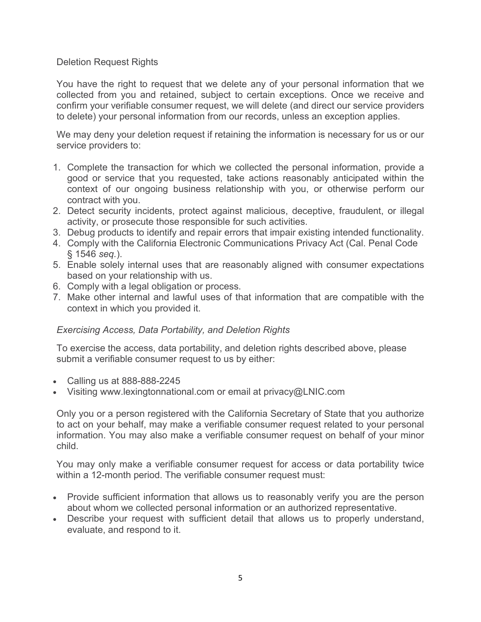## Deletion Request Rights

You have the right to request that we delete any of your personal information that we collected from you and retained, subject to certain exceptions. Once we receive and confirm your verifiable consumer request, we will delete (and direct our service providers to delete) your personal information from our records, unless an exception applies.

We may deny your deletion request if retaining the information is necessary for us or our service providers to:

- 1. Complete the transaction for which we collected the personal information, provide a good or service that you requested, take actions reasonably anticipated within the context of our ongoing business relationship with you, or otherwise perform our contract with you.
- 2. Detect security incidents, protect against malicious, deceptive, fraudulent, or illegal activity, or prosecute those responsible for such activities.
- 3. Debug products to identify and repair errors that impair existing intended functionality.
- 4. Comply with the California Electronic Communications Privacy Act (Cal. Penal Code § 1546 *seq.*).
- 5. Enable solely internal uses that are reasonably aligned with consumer expectations based on your relationship with us.
- 6. Comply with a legal obligation or process.
- 7. Make other internal and lawful uses of that information that are compatible with the context in which you provided it.

# *Exercising Access, Data Portability, and Deletion Rights*

To exercise the access, data portability, and deletion rights described above, please submit a verifiable consumer request to us by either:

- Calling us at 888-888-2245
- Visiting www.lexingtonnational.com or email at privacy@LNIC.com

Only you or a person registered with the California Secretary of State that you authorize to act on your behalf, may make a verifiable consumer request related to your personal information. You may also make a verifiable consumer request on behalf of your minor child.

You may only make a verifiable consumer request for access or data portability twice within a 12-month period. The verifiable consumer request must:

- Provide sufficient information that allows us to reasonably verify you are the person about whom we collected personal information or an authorized representative.
- Describe your request with sufficient detail that allows us to properly understand, evaluate, and respond to it.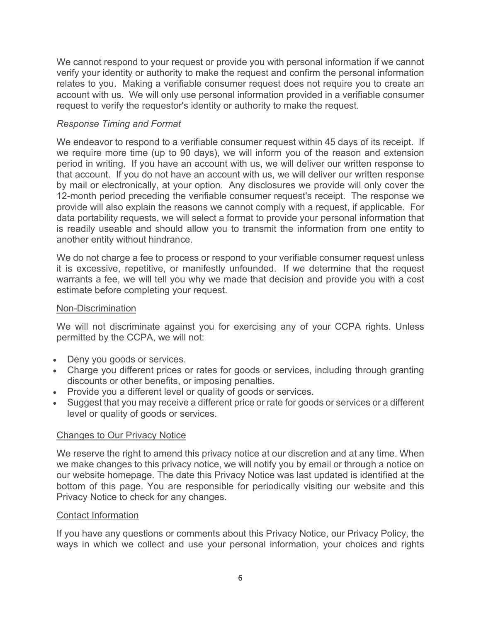We cannot respond to your request or provide you with personal information if we cannot verify your identity or authority to make the request and confirm the personal information relates to you. Making a verifiable consumer request does not require you to create an account with us. We will only use personal information provided in a verifiable consumer request to verify the requestor's identity or authority to make the request.

## *Response Timing and Format*

We endeavor to respond to a verifiable consumer request within 45 days of its receipt. If we require more time (up to 90 days), we will inform you of the reason and extension period in writing. If you have an account with us, we will deliver our written response to that account. If you do not have an account with us, we will deliver our written response by mail or electronically, at your option. Any disclosures we provide will only cover the 12-month period preceding the verifiable consumer request's receipt. The response we provide will also explain the reasons we cannot comply with a request, if applicable. For data portability requests, we will select a format to provide your personal information that is readily useable and should allow you to transmit the information from one entity to another entity without hindrance.

We do not charge a fee to process or respond to your verifiable consumer request unless it is excessive, repetitive, or manifestly unfounded. If we determine that the request warrants a fee, we will tell you why we made that decision and provide you with a cost estimate before completing your request.

### Non-Discrimination

We will not discriminate against you for exercising any of your CCPA rights. Unless permitted by the CCPA, we will not:

- Deny you goods or services.
- Charge you different prices or rates for goods or services, including through granting discounts or other benefits, or imposing penalties.
- Provide you a different level or quality of goods or services.
- Suggest that you may receive a different price or rate for goods or services or a different level or quality of goods or services.

# Changes to Our Privacy Notice

We reserve the right to amend this privacy notice at our discretion and at any time. When we make changes to this privacy notice, we will notify you by email or through a notice on our website homepage. The date this Privacy Notice was last updated is identified at the bottom of this page. You are responsible for periodically visiting our website and this Privacy Notice to check for any changes.

### Contact Information

If you have any questions or comments about this Privacy Notice, our Privacy Policy, the ways in which we collect and use your personal information, your choices and rights